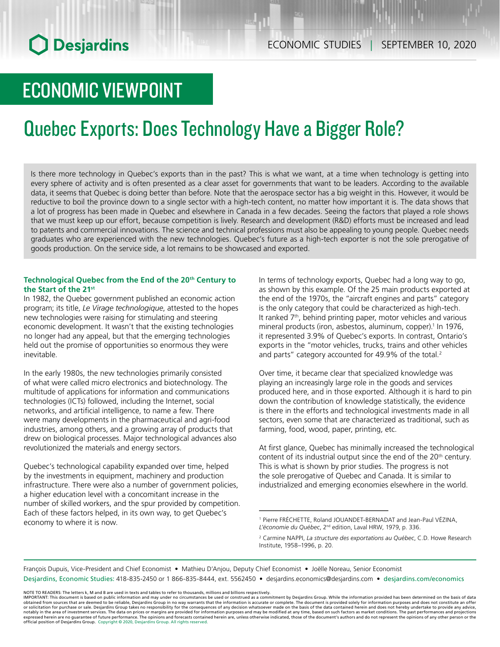# ECONOMIC VIEWPOINT

# Quebec Exports: Does Technology Have a Bigger Role?

Is there more technology in Quebec's exports than in the past? This is what we want, at a time when technology is getting into every sphere of activity and is often presented as a clear asset for governments that want to be leaders. According to the available data, it seems that Quebec is doing better than before. Note that the aerospace sector has a big weight in this. However, it would be reductive to boil the province down to a single sector with a high-tech content, no matter how important it is. The data shows that a lot of progress has been made in Quebec and elsewhere in Canada in a few decades. Seeing the factors that played a role shows that we must keep up our effort, because competition is lively. Research and development (R&D) efforts must be increased and lead to patents and commercial innovations. The science and technical professions must also be appealing to young people. Quebec needs graduates who are experienced with the new technologies. Quebec's future as a high-tech exporter is not the sole prerogative of goods production. On the service side, a lot remains to be showcased and exported.

#### Technological Quebec from the End of the 20<sup>th</sup> Century to **the Start of the 21st**

In 1982, the Quebec government published an economic action program; its title, *Le Virage technologique*, attested to the hopes new technologies were raising for stimulating and steering economic development. It wasn't that the existing technologies no longer had any appeal, but that the emerging technologies held out the promise of opportunities so enormous they were inevitable.

In the early 1980s, the new technologies primarily consisted of what were called micro electronics and biotechnology. The multitude of applications for information and communications technologies (ICTs) followed, including the Internet, social networks, and artificial intelligence, to name a few. There were many developments in the pharmaceutical and agri-food industries, among others, and a growing array of products that drew on biological processes. Major technological advances also revolutionized the materials and energy sectors.

Quebec's technological capability expanded over time, helped by the investments in equipment, machinery and production infrastructure. There were also a number of government policies, a higher education level with a concomitant increase in the number of skilled workers, and the spur provided by competition. Each of these factors helped, in its own way, to get Quebec's economy to where it is now.

In terms of technology exports, Quebec had a long way to go, as shown by this example. Of the 25 main products exported at the end of the 1970s, the "aircraft engines and parts" category is the only category that could be characterized as high-tech. It ranked  $7<sup>th</sup>$ , behind printing paper, motor vehicles and various mineral products (iron, asbestos, aluminum, copper).<sup>1</sup> In 1976, it represented 3.9% of Quebec's exports. In contrast, Ontario's exports in the "motor vehicles, trucks, trains and other vehicles and parts" category accounted for 49.9% of the total.<sup>2</sup>

Over time, it became clear that specialized knowledge was playing an increasingly large role in the goods and services produced here, and in those exported. Although it is hard to pin down the contribution of knowledge statistically, the evidence is there in the efforts and technological investments made in all sectors, even some that are characterized as traditional, such as farming, food, wood, paper, printing, etc.

At first glance, Quebec has minimally increased the technological content of its industrial output since the end of the 20<sup>th</sup> century. This is what is shown by prior studies. The progress is not the sole prerogative of Quebec and Canada. It is similar to industrialized and emerging economies elsewhere in the world.

<sup>1</sup> Pierre FRÉCHETTE, Roland JOUANDET-BERNADAT and Jean-Paul VÉZINA, *L'économie du Québec*, 2nd edition, Laval HRW, 1979, p. 336.

<sup>2</sup> Carmine NAPPI, *La structure des exportations au Québec*, C.D. Howe Research Institute, 1958–1996, p. 20.

François Dupuis, Vice-President and Chief Economist • Mathieu D'Anjou, Deputy Chief Economist • Joëlle Noreau, Senior Economist Desjardins, Economic Studies: 418-835-2450 or 1 866-835-8444, ext. 5562450 • desjardins.economics@desjardins.com • desjardins.com/economics

NOTE TO READERS: The letters k, M and B are used in texts and tables to refer to thousands, millions and billions respectively.<br>IMPORTANT: This document is based on public information and may under no circumstances be used obtained from sources that are deemed to be reliable, Desjardins Group in no way warrants that the information is accurate or complete. The document is provided solely for information purposes and does not constitute an of expressed herein are no guarantee of future performance. The opinions and forecasts contained herein are, unless otherwise indicated, those of the document's authors and do not represent the opinions of any other person or official position of Desjardins Group. Copyright © 2020, Desjardins Group. All rights reserved.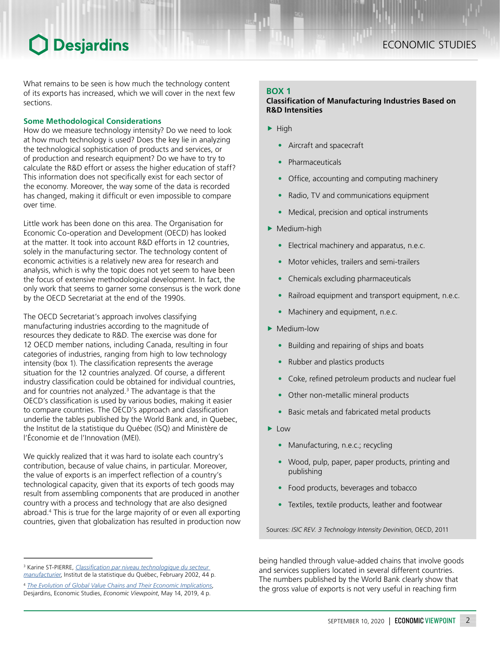# **O** Desjardins

What remains to be seen is how much the technology content of its exports has increased, which we will cover in the next few sections.

#### **Some Methodological Considerations**

How do we measure technology intensity? Do we need to look at how much technology is used? Does the key lie in analyzing the technological sophistication of products and services, or of production and research equipment? Do we have to try to calculate the R&D effort or assess the higher education of staff? This information does not specifically exist for each sector of the economy. Moreover, the way some of the data is recorded has changed, making it difficult or even impossible to compare over time.

Little work has been done on this area. The Organisation for Economic Co-operation and Development (OECD) has looked at the matter. It took into account R&D efforts in 12 countries, solely in the manufacturing sector. The technology content of economic activities is a relatively new area for research and analysis, which is why the topic does not yet seem to have been the focus of extensive methodological development. In fact, the only work that seems to garner some consensus is the work done by the OECD Secretariat at the end of the 1990s.

The OECD Secretariat's approach involves classifying manufacturing industries according to the magnitude of resources they dedicate to R&D. The exercise was done for 12 OECD member nations, including Canada, resulting in four categories of industries, ranging from high to low technology intensity (box 1). The classification represents the average situation for the 12 countries analyzed. Of course, a different industry classification could be obtained for individual countries, and for countries not analyzed.<sup>3</sup> The advantage is that the OECD's classification is used by various bodies, making it easier to compare countries. The OECD's approach and classification underlie the tables published by the World Bank and, in Quebec, the Institut de la statistique du Québec (ISQ) and Ministère de l'Économie et de l'Innovation (MEI).

We quickly realized that it was hard to isolate each country's contribution, because of value chains, in particular. Moreover, the value of exports is an imperfect reflection of a country's technological capacity, given that its exports of tech goods may result from assembling components that are produced in another country with a process and technology that are also designed abroad.4 This is true for the large majority of or even all exporting countries, given that globalization has resulted in production now

### **BOX 1**

#### **Classification of Manufacturing Industries Based on R&D Intensities**

- $\blacktriangleright$  High
	- Aircraft and spacecraft
	- Pharmaceuticals
	- Office, accounting and computing machinery
	- Radio, TV and communications equipment
	- Medical, precision and optical instruments
- $\blacktriangleright$  Medium-high
	- Electrical machinery and apparatus, n.e.c.
	- Motor vehicles, trailers and semi-trailers
	- Chemicals excluding pharmaceuticals
	- Railroad equipment and transport equipment, n.e.c.
	- Machinery and equipment, n.e.c.
- $\blacktriangleright$  Medium-low
	- Building and repairing of ships and boats
	- Rubber and plastics products
	- Coke, refined petroleum products and nuclear fuel
	- Other non-metallic mineral products
	- Basic metals and fabricated metal products
- $\blacktriangleright$  Low
	- Manufacturing, n.e.c.; recycling
	- Wood, pulp, paper, paper products, printing and publishing
	- Food products, beverages and tobacco
	- Textiles, textile products, leather and footwear

Sources: *ISIC REV. 3 Technology Intensity Devinition*, OECD, 2011

being handled through value-added chains that involve goods and services suppliers located in several different countries. The numbers published by the World Bank clearly show that the gross value of exports is not very useful in reaching firm

<sup>3</sup> Karine ST-PIERRE, *[Classification par niveau technologique du secteur](https://www.stat.gouv.qc.ca/statistiques/economie/commerce-exterieur/classification-niveau-technologique.pdf)  [manufacturier](https://www.stat.gouv.qc.ca/statistiques/economie/commerce-exterieur/classification-niveau-technologique.pdf)*, Institut de la statistique du Québec, February 2002, 44 p.

<sup>4</sup> *[The Evolution of Global Value Chains and Their Economic Implications](https://www.desjardins.com/ressources/pdf/pv190514-e.pdf)*, Desjardins, Economic Studies, *Economic Viewpoint*, May 14, 2019, 4 p.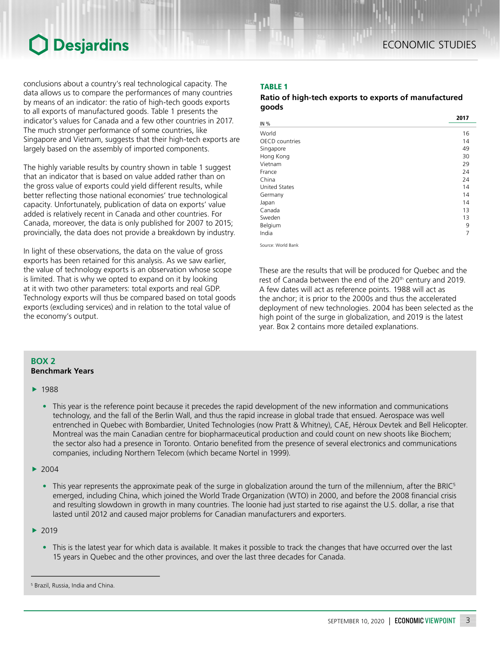# Desjardins

conclusions about a country's real technological capacity. The data allows us to compare the performances of many countries by means of an indicator: the ratio of high-tech goods exports to all exports of manufactured goods. Table 1 presents the indicator's values for Canada and a few other countries in 2017. The much stronger performance of some countries, like Singapore and Vietnam, suggests that their high-tech exports are largely based on the assembly of imported components.

The highly variable results by country shown in table 1 suggest that an indicator that is based on value added rather than on the gross value of exports could yield different results, while better reflecting those national economies' true technological capacity. Unfortunately, publication of data on exports' value added is relatively recent in Canada and other countries. For Canada, moreover, the data is only published for 2007 to 2015; provincially, the data does not provide a breakdown by industry.

In light of these observations, the data on the value of gross exports has been retained for this analysis. As we saw earlier, the value of technology exports is an observation whose scope is limited. That is why we opted to expand on it by looking at it with two other parameters: total exports and real GDP. Technology exports will thus be compared based on total goods exports (excluding services) and in relation to the total value of the economy's output.

## TABLE 1

#### *Ratio of high-tech exports to exports of manufactured goods*

|                      | 2017 |
|----------------------|------|
| IN %                 |      |
| World                | 16   |
| OECD countries       | 14   |
| Singapore            | 49   |
| Hong Kong            | 30   |
| Vietnam              | 29   |
| France               | 24   |
| China                | 24   |
| <b>United States</b> | 14   |
| Germany              | 14   |
| Japan                | 14   |
| Canada               | 13   |
| Sweden               | 13   |
| Belgium              | 9    |
| India                | 7    |
|                      |      |

Source: World Bank

These are the results that will be produced for Quebec and the rest of Canada between the end of the 20<sup>th</sup> century and 2019. A few dates will act as reference points. 1988 will act as the anchor; it is prior to the 2000s and thus the accelerated deployment of new technologies. 2004 has been selected as the high point of the surge in globalization, and 2019 is the latest year. Box 2 contains more detailed explanations.

#### **BOX 2 Benchmark Years**

- $\blacktriangleright$  1988
	- This year is the reference point because it precedes the rapid development of the new information and communications technology, and the fall of the Berlin Wall, and thus the rapid increase in global trade that ensued. Aerospace was well entrenched in Quebec with Bombardier, United Technologies (now Pratt & Whitney), CAE, Héroux Devtek and Bell Helicopter. Montreal was the main Canadian centre for biopharmaceutical production and could count on new shoots like Biochem; the sector also had a presence in Toronto. Ontario benefited from the presence of several electronics and communications companies, including Northern Telecom (which became Nortel in 1999).
- $\blacktriangleright$  2004
	- This year represents the approximate peak of the surge in globalization around the turn of the millennium, after the BRIC<sup>5</sup> emerged, including China, which joined the World Trade Organization (WTO) in 2000, and before the 2008 financial crisis and resulting slowdown in growth in many countries. The loonie had just started to rise against the U.S. dollar, a rise that lasted until 2012 and caused major problems for Canadian manufacturers and exporters.
- $\blacktriangleright$  2019
	- This is the latest year for which data is available. It makes it possible to track the changes that have occurred over the last 15 years in Quebec and the other provinces, and over the last three decades for Canada.

<sup>5</sup> Brazil, Russia, India and China.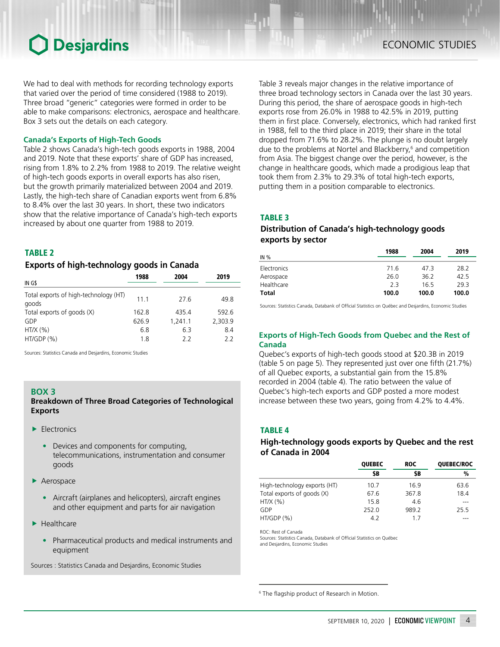# **Desjardins**

We had to deal with methods for recording technology exports that varied over the period of time considered (1988 to 2019). Three broad "generic" categories were formed in order to be able to make comparisons: electronics, aerospace and healthcare. Box 3 sets out the details on each category.

#### **Canada's Exports of High-Tech Goods**

Table 2 shows Canada's high-tech goods exports in 1988, 2004 and 2019. Note that these exports' share of GDP has increased, rising from 1.8% to 2.2% from 1988 to 2019. The relative weight of high-tech goods exports in overall exports has also risen, but the growth primarily materialized between 2004 and 2019. Lastly, the high-tech share of Canadian exports went from 6.8% to 8.4% over the last 30 years. In short, these two indicators show that the relative importance of Canada's high-tech exports increased by about one quarter from 1988 to 2019.

#### TABLE 2

### *Exports of high-technology goods in Canada*

| 1988  | 2004    | 2019    |
|-------|---------|---------|
|       |         |         |
| 111   | 276     | 49.8    |
| 162.8 | 4354    | 592.6   |
| 626.9 | 1.241.1 | 2,303.9 |
| 6.8   | 6.3     | 8.4     |
| 1.8   | 22      | 22      |
|       |         |         |

Sources: Statistics Canada and Desjardins, Economic Studies

#### **BOX 3**

#### **Breakdown of Three Broad Categories of Technological Exports**

- $\blacktriangleright$  Electronics
	- Devices and components for computing, telecommunications, instrumentation and consumer goods
- $\blacktriangleright$  Aerospace
	- Aircraft (airplanes and helicopters), aircraft engines and other equipment and parts for air navigation
- $\blacktriangleright$  Healthcare
	- Pharmaceutical products and medical instruments and equipment

Sources : Statistics Canada and Desjardins, Economic Studies

Table 3 reveals major changes in the relative importance of three broad technology sectors in Canada over the last 30 years. During this period, the share of aerospace goods in high-tech exports rose from 26.0% in 1988 to 42.5% in 2019, putting them in first place. Conversely, electronics, which had ranked first in 1988, fell to the third place in 2019; their share in the total dropped from 71.6% to 28.2%. The plunge is no doubt largely due to the problems at Nortel and Blackberry,<sup>6</sup> and competition from Asia. The biggest change over the period, however, is the change in healthcare goods, which made a prodigious leap that took them from 2.3% to 29.3% of total high-tech exports, putting them in a position comparable to electronics.

### TABLE 3

### *Distribution of Canada's high-technology goods exports by sector*

| 1988  | 2004  | 2019  |
|-------|-------|-------|
|       |       |       |
| 71.6  | 47.3  | 28.2  |
| 26.0  | 36.2  | 42.5  |
| 2.3   | 16.5  | 29.3  |
| 100.0 | 100.0 | 100.0 |
|       |       |       |

Sources: Statistics Canada, Databank of Official Statistics on Québec and Desjardins, Economic Studies

#### **Exports of High-Tech Goods from Quebec and the Rest of Canada**

Quebec's exports of high-tech goods stood at \$20.3B in 2019 (table 5 on page 5). They represented just over one fifth (21.7%) of all Quebec exports, a substantial gain from the 15.8% recorded in 2004 (table 4). The ratio between the value of Quebec's high-tech exports and GDP posted a more modest increase between these two years, going from 4.2% to 4.4%.

#### TABLE 4

#### *High-technology goods exports by Quebec and the rest of Canada in 2004*

|                              | <b>QUEBEC</b> | <b>ROC</b> | QUEBEC/ROC |
|------------------------------|---------------|------------|------------|
|                              | \$B           | \$B        | %          |
| High-technology exports (HT) | 10.7          | 16.9       | 63.6       |
| Total exports of goods (X)   | 67.6          | 367.8      | 18.4       |
| HT/X (%)                     | 15.8          | 4.6        |            |
| GDP                          | 252.0         | 989.2      | 255        |
| HT/GDP (%)                   | 4.2           | 17         |            |

ROC: Rest of Canada

Sources: Statistics Canada, Databank of Official Statistics on Québec and Desjardins, Economic Studies

<sup>6</sup> The flagship product of Research in Motion.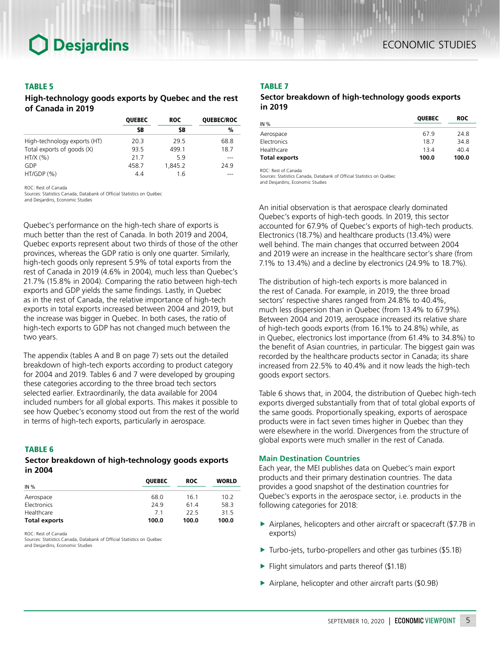#### TABLE 5

*High-technology goods exports by Quebec and the rest of Canada in 2019*

|                              | <b>QUEBEC</b> | <b>ROC</b> | QUEBEC/ROC |
|------------------------------|---------------|------------|------------|
|                              | \$B           | \$B        | %          |
| High-technology exports (HT) | 20.3          | 29.5       | 68.8       |
| Total exports of goods (X)   | 93.5          | 499.1      | 18.7       |
| HT/X (%)                     | 217           | 59         |            |
| GDP                          | 458.7         | 1,845.2    | 249        |
| HT/GDP (%)                   | 44            | 1.6        |            |

ROC: Rest of Canada

Sources: Statistics Canada, Databank of Official Statistics on Québec

and Desjardins, Economic Studies

Quebec's performance on the high-tech share of exports is much better than the rest of Canada. In both 2019 and 2004, Quebec exports represent about two thirds of those of the other provinces, whereas the GDP ratio is only one quarter. Similarly, high-tech goods only represent 5.9% of total exports from the rest of Canada in 2019 (4.6% in 2004), much less than Quebec's 21.7% (15.8% in 2004). Comparing the ratio between high-tech exports and GDP yields the same findings. Lastly, in Quebec as in the rest of Canada, the relative importance of high-tech exports in total exports increased between 2004 and 2019, but the increase was bigger in Quebec. In both cases, the ratio of high-tech exports to GDP has not changed much between the two years.

The appendix (tables A and B on page 7) sets out the detailed breakdown of high-tech exports according to product category for 2004 and 2019. Tables 6 and 7 were developed by grouping these categories according to the three broad tech sectors selected earlier. Extraordinarily, the data available for 2004 included numbers for all global exports. This makes it possible to see how Quebec's economy stood out from the rest of the world in terms of high-tech exports, particularly in aerospace.

#### TABLE 6

#### *Sector breakdown of high-technology goods exports in 2004*

| IN %                 | <b>OUEBEC</b>  | <b>ROC</b> | <b>WORLD</b> |
|----------------------|----------------|------------|--------------|
| Aerospace            | 68.0           | 16.1       | 10.2         |
| Electronics          | 24.9           | 61.4       | 58.3         |
| Healthcare           | 7 <sub>1</sub> | 22.5       | 31.5         |
| <b>Total exports</b> | 100.0          | 100.0      | 100.0        |

ROC: Rest of Canada

Sources: Statistics Canada, Databank of Official Statistics on Québec and Desjardins, Economic Studies

#### TABLE 7

#### *Sector breakdown of high-technology goods exports in 2019*

| IN %                 | <b>QUEBEC</b> | <b>ROC</b> |
|----------------------|---------------|------------|
| Aerospace            | 67.9          | 24.8       |
| Electronics          | 18.7          | 34.8       |
| Healthcare           | 13.4          | 40.4       |
| <b>Total exports</b> | 100.0         | 100.0      |

ROC: Rest of Canada

Sources: Statistics Canada, Databank of Official Statistics on Québec and Desjardins, Economic Studies

An initial observation is that aerospace clearly dominated Quebec's exports of high-tech goods. In 2019, this sector accounted for 67.9% of Quebec's exports of high-tech products. Electronics (18.7%) and healthcare products (13.4%) were well behind. The main changes that occurred between 2004 and 2019 were an increase in the healthcare sector's share (from 7.1% to 13.4%) and a decline by electronics (24.9% to 18.7%).

The distribution of high-tech exports is more balanced in the rest of Canada. For example, in 2019, the three broad sectors' respective shares ranged from 24.8% to 40.4%, much less dispersion than in Quebec (from 13.4% to 67.9%). Between 2004 and 2019, aerospace increased its relative share of high-tech goods exports (from 16.1% to 24.8%) while, as in Quebec, electronics lost importance (from 61.4% to 34.8%) to the benefit of Asian countries, in particular. The biggest gain was recorded by the healthcare products sector in Canada; its share increased from 22.5% to 40.4% and it now leads the high-tech goods export sectors.

Table 6 shows that, in 2004, the distribution of Quebec high-tech exports diverged substantially from that of total global exports of the same goods. Proportionally speaking, exports of aerospace products were in fact seven times higher in Quebec than they were elsewhere in the world. Divergences from the structure of global exports were much smaller in the rest of Canada.

#### **Main Destination Countries**

Each year, the MEI publishes data on Quebec's main export products and their primary destination countries. The data provides a good snapshot of the destination countries for Quebec's exports in the aerospace sector, i.e. products in the following categories for 2018:

- $\triangleright$  Airplanes, helicopters and other aircraft or spacecraft (\$7.7B in exports)
- $\blacktriangleright$  Turbo-jets, turbo-propellers and other gas turbines (\$5.1B)
- $\blacktriangleright$  Flight simulators and parts thereof (\$1.1B)
- $\blacktriangleright$  Airplane, helicopter and other aircraft parts (\$0.9B)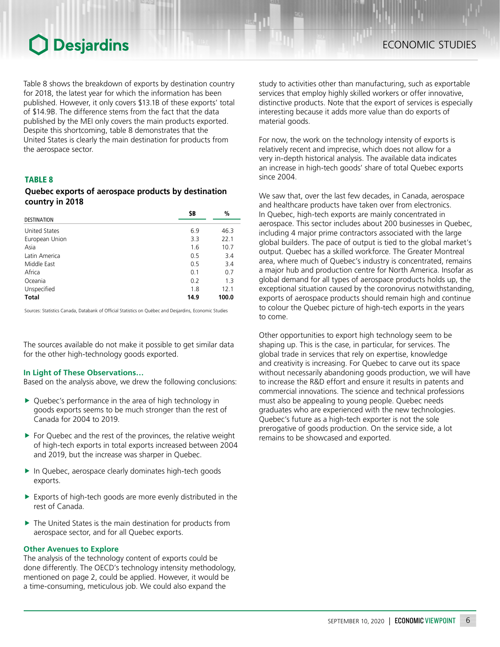# **Desjardins**

Table 8 shows the breakdown of exports by destination country for 2018, the latest year for which the information has been published. However, it only covers \$13.1B of these exports' total of \$14.9B. The difference stems from the fact that the data published by the MEI only covers the main products exported. Despite this shortcoming, table 8 demonstrates that the United States is clearly the main destination for products from the aerospace sector.

### TABLE 8

### *Quebec exports of aerospace products by destination country in 2018*

|                      | \$B  | %     |
|----------------------|------|-------|
| <b>DESTINATION</b>   |      |       |
| <b>United States</b> | 6.9  | 46.3  |
| European Union       | 3.3  | 22.1  |
| Asia                 | 1.6  | 10.7  |
| Latin America        | 0.5  | 3.4   |
| Middle East          | 0.5  | 3.4   |
| Africa               | 0.1  | 0.7   |
| Oceania              | 0.2  | 1.3   |
| Unspecified          | 1.8  | 12.1  |
| <b>Total</b>         | 14.9 | 100.0 |

Sources: Statistics Canada, Databank of Official Statistics on Québec and Desjardins, Economic Studies

The sources available do not make it possible to get similar data for the other high-technology goods exported.

#### **In Light of These Observations…**

Based on the analysis above, we drew the following conclusions:

- $\triangleright$  Quebec's performance in the area of high technology in goods exports seems to be much stronger than the rest of Canada for 2004 to 2019.
- $\blacktriangleright$  For Quebec and the rest of the provinces, the relative weight of high-tech exports in total exports increased between 2004 and 2019, but the increase was sharper in Quebec.
- $\blacktriangleright$  In Quebec, aerospace clearly dominates high-tech goods exports.
- $\blacktriangleright$  Exports of high-tech goods are more evenly distributed in the rest of Canada.
- $\blacktriangleright$  The United States is the main destination for products from aerospace sector, and for all Quebec exports.

#### **Other Avenues to Explore**

The analysis of the technology content of exports could be done differently. The OECD's technology intensity methodology, mentioned on page 2, could be applied. However, it would be a time-consuming, meticulous job. We could also expand the

study to activities other than manufacturing, such as exportable services that employ highly skilled workers or offer innovative, distinctive products. Note that the export of services is especially interesting because it adds more value than do exports of material goods.

For now, the work on the technology intensity of exports is relatively recent and imprecise, which does not allow for a very in-depth historical analysis. The available data indicates an increase in high-tech goods' share of total Quebec exports since 2004.

We saw that, over the last few decades, in Canada, aerospace and healthcare products have taken over from electronics. In Quebec, high-tech exports are mainly concentrated in aerospace. This sector includes about 200 businesses in Quebec, including 4 major prime contractors associated with the large global builders. The pace of output is tied to the global market's output. Quebec has a skilled workforce. The Greater Montreal area, where much of Quebec's industry is concentrated, remains a major hub and production centre for North America. Insofar as global demand for all types of aerospace products holds up, the exceptional situation caused by the coronovirus notwithstanding, exports of aerospace products should remain high and continue to colour the Quebec picture of high-tech exports in the years to come.

Other opportunities to export high technology seem to be shaping up. This is the case, in particular, for services. The global trade in services that rely on expertise, knowledge and creativity is increasing. For Quebec to carve out its space without necessarily abandoning goods production, we will have to increase the R&D effort and ensure it results in patents and commercial innovations. The science and technical professions must also be appealing to young people. Quebec needs graduates who are experienced with the new technologies. Quebec's future as a high-tech exporter is not the sole prerogative of goods production. On the service side, a lot remains to be showcased and exported.